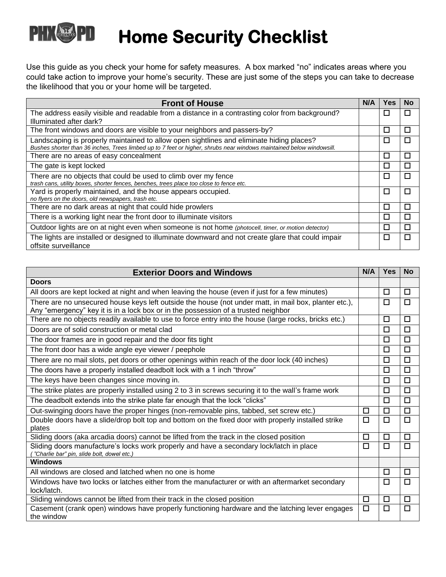## PHKAAPI **Home Security Checklist**

Use this guide as you check your home for safety measures. A box marked "no" indicates areas where you could take action to improve your home's security. These are just some of the steps you can take to decrease the likelihood that you or your home will be targeted.

| <b>Front of House</b>                                                                                                                                                                                            | N/A | Yes    | No     |
|------------------------------------------------------------------------------------------------------------------------------------------------------------------------------------------------------------------|-----|--------|--------|
| The address easily visible and readable from a distance in a contrasting color from background?                                                                                                                  |     | $\Box$ | П      |
| Illuminated after dark?                                                                                                                                                                                          |     |        |        |
| The front windows and doors are visible to your neighbors and passers-by?                                                                                                                                        |     | $\Box$ | $\Box$ |
| Landscaping is properly maintained to allow open sightlines and eliminate hiding places?<br>Bushes shorter than 36 inches, Trees limbed up to 7 feet or higher, shrubs near windows maintained below windowsill. |     | □      | П      |
| There are no areas of easy concealment                                                                                                                                                                           |     | □      | П      |
| The gate is kept locked                                                                                                                                                                                          |     | □      | П      |
| There are no objects that could be used to climb over my fence<br>trash cans, utility boxes, shorter fences, benches, trees place too close to fence etc.                                                        |     | □      | П      |
| Yard is properly maintained, and the house appears occupied.<br>no flyers on the doors, old newspapers, trash etc.                                                                                               |     | $\Box$ | П      |
| There are no dark areas at night that could hide prowlers                                                                                                                                                        |     | $\Box$ | П      |
| There is a working light near the front door to illuminate visitors                                                                                                                                              |     | П      | П      |
| Outdoor lights are on at night even when someone is not home (photocell, timer, or motion detector)                                                                                                              |     | □      | п      |
| The lights are installed or designed to illuminate downward and not create glare that could impair<br>offsite surveillance                                                                                       |     | □      | П      |

| <b>Exterior Doors and Windows</b>                                                                                                      | N/A    | <b>Yes</b> | <b>No</b> |
|----------------------------------------------------------------------------------------------------------------------------------------|--------|------------|-----------|
| <b>Doors</b>                                                                                                                           |        |            |           |
| All doors are kept locked at night and when leaving the house (even if just for a few minutes)                                         |        | □          | $\Box$    |
| There are no unsecured house keys left outside the house (not under matt, in mail box, planter etc.),                                  |        | □          | $\Box$    |
| Any "emergency" key it is in a lock box or in the possession of a trusted neighbor                                                     |        |            |           |
| There are no objects readily available to use to force entry into the house (large rocks, bricks etc.)                                 |        | $\Box$     | □         |
| Doors are of solid construction or metal clad                                                                                          |        | $\Box$     | □         |
| The door frames are in good repair and the door fits tight                                                                             |        | П          | □         |
| The front door has a wide angle eye viewer / peephole                                                                                  |        | П          | $\Box$    |
| There are no mail slots, pet doors or other openings within reach of the door lock (40 inches)                                         |        | □          | $\Box$    |
| The doors have a properly installed deadbolt lock with a 1 inch "throw"                                                                |        | □          | $\Box$    |
| The keys have been changes since moving in.                                                                                            |        | □          | $\Box$    |
| The strike plates are properly installed using 2 to 3 in screws securing it to the wall's frame work                                   |        | $\Box$     | $\Box$    |
| The deadbolt extends into the strike plate far enough that the lock "clicks"                                                           |        | $\Box$     | $\Box$    |
| Out-swinging doors have the proper hinges (non-removable pins, tabbed, set screw etc.)                                                 | □      | $\Box$     | $\Box$    |
| Double doors have a slide/drop bolt top and bottom on the fixed door with properly installed strike<br>plates                          | $\Box$ | $\Box$     | $\Box$    |
| Sliding doors (aka arcadia doors) cannot be lifted from the track in the closed position                                               | □      | $\Box$     | $\Box$    |
| Sliding doors manufacture's locks work properly and have a secondary lock/latch in place<br>"Charlie bar" pin, slide bolt, dowel etc.) | П      | $\Box$     | П         |
| <b>Windows</b>                                                                                                                         |        |            |           |
| All windows are closed and latched when no one is home                                                                                 |        | $\Box$     | □         |
| Windows have two locks or latches either from the manufacturer or with an aftermarket secondary                                        |        | $\Box$     | П         |
| lock/latch.                                                                                                                            |        |            |           |
| Sliding windows cannot be lifted from their track in the closed position                                                               | $\Box$ | $\Box$     | □         |
| Casement (crank open) windows have properly functioning hardware and the latching lever engages                                        | $\Box$ | $\Box$     | $\Box$    |
| the window                                                                                                                             |        |            |           |